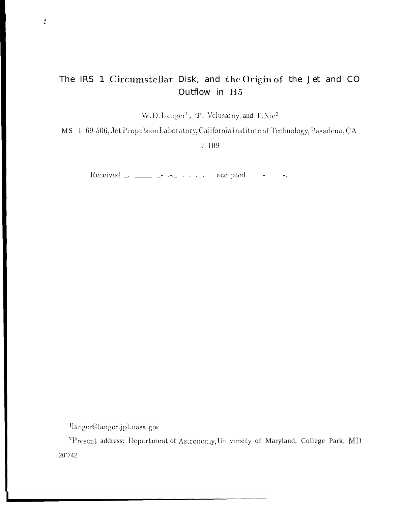## The IRS 1 Circumstellar Disk, and the Origin of the Jet and CO Outflow in B5

W.D.Langer<sup>1</sup>, 'J'. Velusarny, and T.Xie<sup>2</sup>

MS 1 69-506, Jet Propulsion Laboratory, California Institute of Technology, Pasadena, CA

91109

 $\overline{a}$ 

llanger@langer.jpl.nasa.gov

 $\rlap{-}$ 

<sup>2</sup>Present address: Department of Astronomy, University of Maryland, College Park, MD  $20^\circ\!42$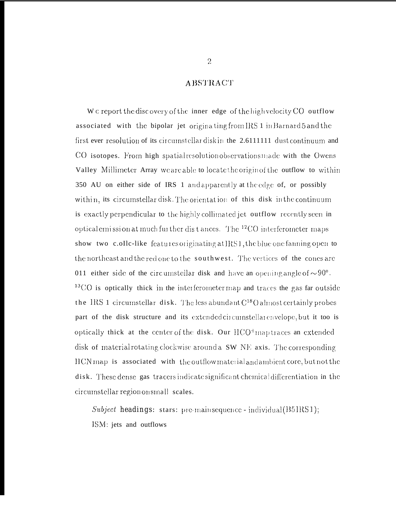## **ABSTRACT**

We report the discovery of the inner edge of the high velocity CO outflow associated with the bipolar jet originating from IRS 1 in Barnard 5 and the first ever resolution of its circumstellar disk in the 2.6111111 dust continuum and CO isotopes. From high spatial resolution observations made with the Owens Valley Millimeter Array we are able to locate the origin of the outflow to within 350 AU on either side of IRS 1 and apparently at the edge of, or possibly within, its circumstellar disk. The orientation of this disk in the continuum is exactly perpendicular to the highly collimated jet outflow recently seen in optical emission at much further distances. The <sup>12</sup>CO interferometer maps show two c.ollc-like features originating at IRS1, the blue one fanning open to the northeast and the red one to the southwest. The vertices of the cones are 011 either side of the circumstellar disk and have an opening angle of  $\sim 90^\circ$ .  $^{13}$ CO is optically thick in the interferometer map and traces the gas far outside the IRS 1 circumstellar disk. The less abundant  $C^{18}$ () almost certainly probes part of the disk structure and its extended circumstellar envelope, but it too is optically thick at the center of the disk. Our HCO<sup>+</sup> map traces an extended disk of material rotating clockwise around a SW NE axis. The corresponding HCN map is associated with the outflow material and ambient core, but not the disk. These dense gas tracers indicate significant chemical differentiation in the circumstellar region on small scales.

Subject headings: stars: pre-main sequence - individual (B5IRS1); ISM: jets and outflows

 $2\,$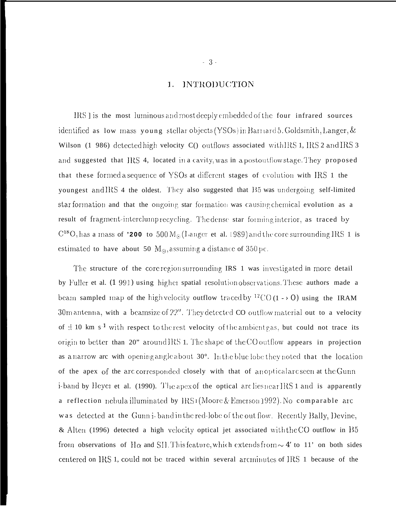#### **INTRODUCTION** 1.

IRS ] is the most luminous and most deeply embedded of the four infrared sources identified as low mass young stellar objects (YSOs) in Barnard 5. Goldsmith, Langer, & Wilson (1 986) detected high velocity C() outflows associated with IRS 1, IRS 2 and IRS 3 and suggested that IRS 4, located in a cavity, was in a postoutflow stage. They proposed that these formed a sequence of YSOs at different stages of evolution with IRS 1 the youngest and IRS 4 the oldest. They also suggested that B5 was undergoing self-limited star formation and that the ongoing star formation was causing chemical evolution as a result of fragment-interclump recycling. The dense star forming interior, as traced by  $C^{18}O$ , has a mass of '200 to 500 M<sub>o</sub>(Langer et al. 1989) and the core surrounding IRS 1 is estimated to have about 50  $M_{\odot}$ , assuming a distance of 350 pc.

The structure of the core region surrounding IRS 1 was investigated in more detail by Fuller et al. (1 991) using higher spatial resolution observations. These authors made a beam sampled map of the high velocity outflow traced by <sup>12</sup>CO(1 - > O) using the IRAM 30m antenna, with a beamsize of 22". They detected CO outflow material out to a velocity of  $\pm$  10 km s<sup>-1</sup> with respect to the rest velocity of the ambient gas, but could not trace its origin to better than 20" around IRS 1. The shape of the CO outflow appears in projection as a narrow are with opening angle about 30°. In the blue lobe they noted that the location of the apex of the arc corresponded closely with that of anoptical arc seen at the Gunn i-band by Heyer et al. (1990). The apex of the optical arc lies near IRS 1 and is apparently a reflection nebula illuminated by  $IRS1(Moore \& Emerson 1992)$ . No comparable arc was detected at the Gunni-band in the red-lobe of the out flow. Recently Bally, Devine, & Alten (1996) detected a high velocity optical jet associated with the CO outflow in B5 from observations of H $\alpha$  and SII. This feature, which extends from  $\sim 4'$  to 11' on both sides centered on IRS 1, could not be traced within several arcminutes of IRS 1 because of the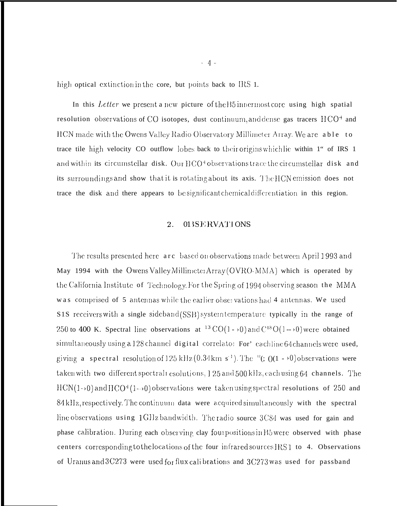high optical extinction in the core, but points back to IRS 1.

In this Letter we present a new picture of the B5 innermost core using high spatial resolution observations of CO isotopes, dust continuum, and dense gas tracers  $HCO<sup>+</sup>$  and HCN made with the Owens Valley Radio Observatory Millimeter Array. We are able to trace tile high velocity CO outflow lobes back to their origins which lie within 1" of IRS 1 and within its circumstellar disk. Our HCO<sup>+</sup> observations trace the circumstellar disk and its surroundings and show that it is rotating about its axis. The HCN emission does not trace the disk and there appears to be significant chemical differentiation in this region.

#### 2. 013SERVATIONS

The results presented here arc based on observations made between April 1993 and May 1994 with the Owens Valley Millimeter Array (OVRO-MMA) which is operated by the California Institute of Technology. For the Spring of 1994 observing season the MMA was comprised of 5 antennas while the earlier observations had 4 antennas. We used S1S receivers with a single sideband (SSB) system temperature typically in the range of 250 to 400 K. Spectral line observations at <sup>13</sup> CO(1 -  $\cdot$ 0) and C<sup>18</sup>O(1 -  $\cdot$ 0) were obtained simultaneously using a 128 channel digital correlator For' eachline 64 channels were used, giving a spectral resolution of 125 kHz  $(0.34 \text{ km s}^{-1})$ . The <sup>12</sup> $($ ;  $()(1 - 0)$  observations were taken with two different spectrali esolutions, 1 25 and 500 kHz, each using 64 channels. The  $HCN(1\rightarrow0)$  and  $HCO^{+}(1\rightarrow0)$  observations were taken using spectral resolutions of 250 and 84 kHz, respectively. The continuum data were acquired simultaneously with the spectral line observations using 1 GHz bandwidth. The radio source 3C84 was used for gain and phase calibration. During each observing clay four positions in Bowere observed with phase centers corresponding to the locations of the four infrared sources IRS1 to 4. Observations of Uranus and  $3C273$  were used for flux calibrations and  $3C273$  was used for passband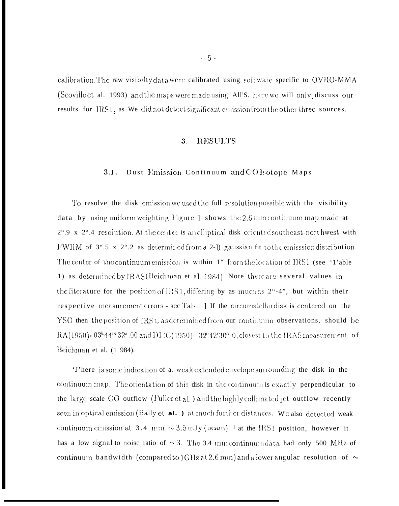calibration. The raw visibility data were calibrated using soft wate specific to OVRO-MMA (Scoville et al. 1993) and the maps were made using All'S. Here we will only discuss our results for IRS1, as We did not detect significant emission from the other three sources.

#### $3.$ **RESULTS**

#### Dust Emission Continuum and COIsotope Maps  $3.1.$

To resolve the disk emission we used the full resolution possible with the visibility data by using uniform weighting. Figure 1 shows the  $2.6 \,\mathrm{mm}$  continuum map made at 2".9 x 2".4 resolution. At the center is an elliptical disk oriented southeast-nort hwest with FWHM of 3".5 x 2".2 as determined from a 2-]) gaussian fit to the emisssion distribution. The center of the continuum emission is within 1" from the location of IRS1 (see '1'able 1) as determined by IRAS (Beichman et al. 1984). Note there are several values in the literature for the position of IRS1, differing by as much as 2"-4", but within their respective measurement errors - see Table ] If the circumstellardisk is centered on the YSO then the position of IRS 1, as determined from our continuum observations, should be RA(1950)= $03^{h}44^{m}32^{s}.00$  and DF(C(1950)= $32^{s}42'30''.0$ , closest to the IRAS measurement of Beichman et al. (1 984).

'J'here is some indication of a. weak extended envelope surrounding the disk in the continuum map. The orientation of this disk in the continuum is exactly perpendicular to the large scale CO outflow (Fuller et al.) and the highly collimated jet outflow recently seen in optical emission (Bally et al.) at much further distances. We also detected weak continuum emission at 3.4 mm,  $\sim$  3.5 mJy (beam)<sup>-1</sup> at the IRS1 position, however it has a low signal to noise ratio of  $\sim$ 3. The 3.4 mm continuum data had only 500 MHz of continuum bandwidth (compared to  $(G)$ ] z at 2.6 mm) and a lower angular resolution of  $\sim$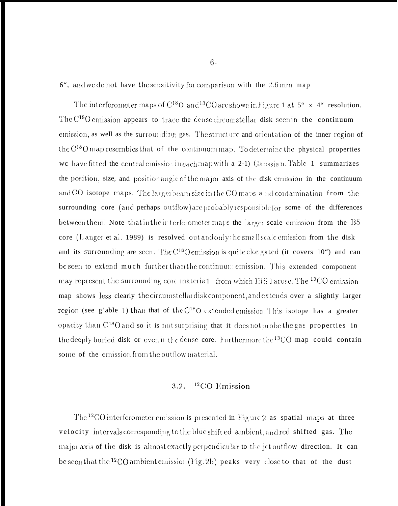6", and we do not have the sensitivity for comparison with the 2.6 mm map

The interferometer maps of  $C^{18}O$  and <sup>13</sup>CO are shown in Figure 1 at 5" x 4" resolution. The  $C^{18}$ O emission appears to trace the dense circumstellar disk seen in the continuum emission, as well as the surrounding gas. The structure and orientation of the inner region of the C<sup>18</sup>O map resembles that of the continuum map. To determine the physical properties we have fitted the central emission in each map with a 2-1) Gaussian. Table 1 summarizes the position, size, and position angle of the major axis of the disk emission in the continuum and CO isotope maps. The larger beam size in the CO maps a nd contamination from the surrounding core (and perhaps outflow) are probably responsible for some of the differences between them. Note that in the interferometer maps the larger scale emission from the B5 core (Langer et al. 1989) is resolved out and only the small scale emission from the disk and its surrounding are seen. The C<sup>18</sup>O emission is quite elongated (it covers 10") and can be seen to extend much further than the continuum emission. This extended component may represent the surrounding core materia 1 from which IRS I arose. The <sup>13</sup>CO emission map shows less clearly the circumstellardisk component, and extends over a slightly larger region (see g'able 1) than that of the  $C^{18}$ O extended emission. This isotope has a greater opacity than C<sup>18</sup>O and so it is not surprising that it does not probe the gas properties in the deeply buried disk or even in the dense core. Furthermore the <sup>13</sup>CO map could contain some of the emission from the outflow material.

#### $12$ CO Emission  $3.2.$

The <sup>12</sup>CO interferometer emission is presented in Figure 2 as spatial maps at three velocity intervals corresponding to the blue shift ed, ambient, and red shifted gas. The major axis of the disk is almost exactly perpendicular to the jet outflow direction. It can be seen that the <sup>12</sup>CO ambient emission (Fig. 2b) peaks very close to that of the dust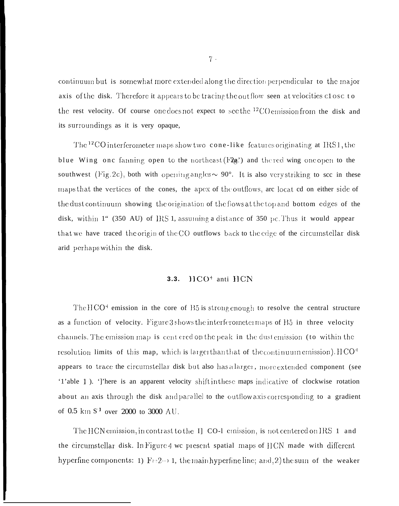continuum but is somewhat more extended along the direction perpendicular to the major axis of the disk. Therefore it appears to be tracing the out flow seen at velocities close to the rest velocity. Of course one does not expect to see the  $^{12}$ CO emission from the disk and its surroundings as it is very opaque,

The <sup>12</sup>CO interferometer maps show two cone-like features originating at IRS1, the blue Wing one fanning open to the northeast  $(F2a)$  and the red wing one open to the southwest (Fig. 2c), both with opening angles  $\sim 90^{\circ}$ . It is also very striking to see in these maps that the vertices of the cones, the apex of the outflows, arc locat ed on either side of the dust continuum showing the origination of the flows at the top and bottom edges of the disk, within 1" (350 AU) of IRS 1, assuming a distance of 350 pc. Thus it would appear that we have traced the origin of the CO outflows back to the edge of the circumstellar disk arid perhaps within the disk.

#### $HCO<sup>+</sup>$  anti  $HCN$  $3.3.$

The  $HCO<sup>4</sup>$  emission in the core of  $B5$  is strong enough to resolve the central structure as a function of velocity. Figure 3 shows the interferometermaps of B5 in three velocity channels. The emission map is cent ered on the peak in the dust emission (to within the resolution limits of this map, which is larger than that of the continuum emission).  $HCO<sup>+</sup>$ appears to trace the circumstellar disk but also has a larger, more extended component (see '1'able 1). ']'here is an apparent velocity shift in these maps indicative of clockwise rotation about an axis through the disk and parallel to the outflow axis corresponding to a gradient of 0.5  $\mathrm{km} \, \mathrm{S}^1$  over 2000 to 3000 AU.

The HCN emission, in contrast to the I CO-1 emission, is not centered on IRS 1 and the circumstellar disk. In Figure 4 we present spatial maps of HCN made with different hyperfine components: 1)  $F = 2 \rightarrow 1$ , the main hyperfine line; and, 2) the sum of the weaker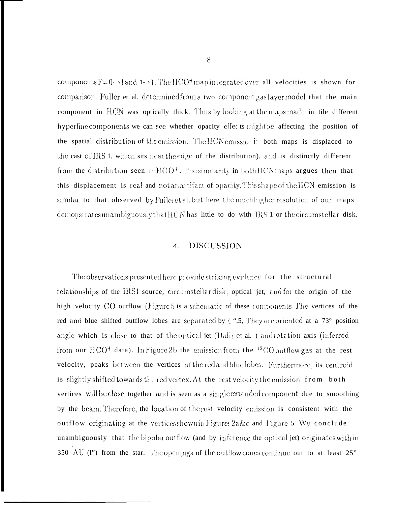components  $F=0 \rightarrow 1$  and  $1 \rightarrow 1$ . The HCO<sup>+</sup> map integrated over all velocities is shown for comparison. Fuller et al. determined from a two component gas layer model that the main component in HCN was optically thick. Thus by looking at the maps made in tile different hyperfine components we can see whether opacity effects might be affecting the position of the spatial distribution of the emission. The HCN emission in both maps is displaced to the cast of IRS 1, which sits neartheedge of the distribution), and is distinctly different from the distribution seen in  $HCO<sup>+</sup>$ . The similarity in both HCN maps argues then that this displacement is real and not an artifact of opacity. This shape of the HCN emission is similar to that observed by Fuller et al. but here the much higher resolution of our maps demonstrates unambiguously that HCN has little to do with IRS 1 or the circumstellar disk.

#### DISCUSSION  $\overline{4}$ .

The observations presented here provide striking evidence for the structural relationships of the IRS1 source, circumstellar disk, optical jet, and for the origin of the high velocity CO outflow (Figure 5 is a schematic of these components. The vertices of the red and blue shifted outflow lobes are separated by 4 ".5, They are oriented at a 73° position angle which is close to that of the optical jet (Bally et al.) and rotation axis (inferred from our HCO<sup>+</sup> data). In Figure 2b the emission from the <sup>12</sup>CO outflow gas at the rest velocity, peaks between the vertices of the red and blue lobes. Furthermore, its centroid is slightly shifted towards the red vertex. At the rest velocity the emission from both vertices will be close together and is seen as a single extended component due to smoothing by the beam. Therefore, the location of the rest velocity emission is consistent with the outflow originating at the vertices shown in Figures 2a&c and Figure 5. We conclude unambiguously that the bipolar outflow (and by inference the optical jet) originates with in 350 AU (I") from the star. The openings of the outflow cones continue out to at least 25"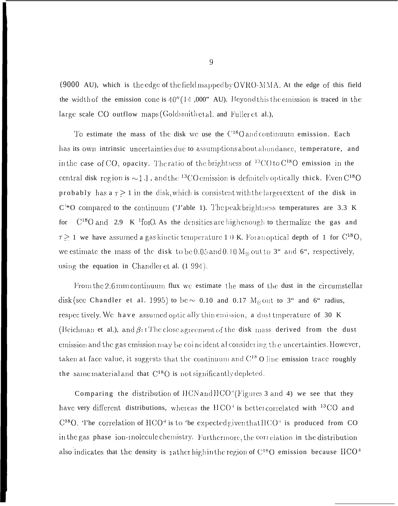(9000 AU), which is the edge of the field mapped by OVRO-MMA. At the edge of this field the width of the emission cone is  $40''(14,000'$  AU). Beyond this the emission is traced in the large scale CO outflow maps (Goldsmith et al. and Fuller et al.),

To estimate the mass of the disk we use the C<sup>18</sup>O and continuum emission. Each has its own intrinsic uncertainties due to assumptions about abundance, temperature, and in the case of CO, opacity. The ratio of the brightness of  $^{13}$ CO to C<sup>18</sup>O emission in the central disk region is  $\sim$ 1.], and the <sup>13</sup>CO emission is definitely optically thick. Even C<sup>18</sup>O probably has a  $\tau \geq 1$  in the disk, which is consistent with the larger extent of the disk in  $C^{1*}O$  compared to the continuum ('J'able 1). The peak brightness temperatures are 3.3 K for  $C^{18}$ O and 2.9 K <sup>1</sup>fonO. As the densities are high enough to thermalize the gas and  $\tau \geq 1$  we have assumed a gas kinetic temperature 10 K. For an optical depth of 1 for C<sup>18</sup>O, we estimate the mass of the disk to be 0.05 and 0.10  $M_{\odot}$  out to 3" and 6", respectively, using the equation in Chandler et al. (1994).

From the 2.6 mm continuum flux we estimate the mass of the dust in the circumstellar disk (see Chandler et al. 1995) to be  $\sim$  0.10 and 0.17 M<sub> $\odot$ </sub> out to 3" and 6" radius, respectively. We have assumed optically thin emission, a dust time rature of 30 K (Beichman et al.), and  $\beta$ : The close agreement of the disk mass derived from the dust emission and the gas emission may be coincident al considering the uncertainties. However, taken at face value, it suggests that the continuum and  $C^{18}$  O line emission trace roughly the same material and that  $C^{18}O$  is not significantly depleted.

Comparing the distribution of HCN and HCO<sup>+</sup>(Figures 3 and 4) we see that they have very different distributions, whereas the HCO<sup>+</sup> is better correlated with <sup>13</sup>CO and  $C^{18}O$ . The correlation of HCO<sup>+</sup> is to 'be expected given that HCO<sup>+</sup> is produced from CO in the gas phase ion-inolecule chemistry. Furthermore, the correlation in the distribution also indicates that the density is rather high in the region of  $C^{18}$ O emission because  $HCO<sup>+</sup>$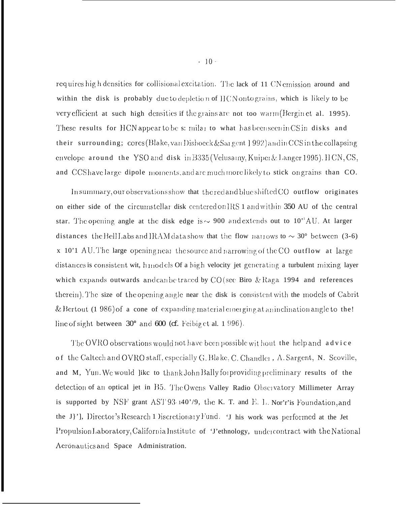requires high densities for collisional excitation. The lack of 11 CN emission around and within the disk is probably due to depletion of HCN onto grains, which is likely to be very efficient at such high densities if the grains are not too warm (Bergin et al. 1995). These results for HCN appear to be s: milat to what has been seen in CS in disks and their surrounding; cores (Blake, van Dishoeck  $&$ Sargent ] 992) and in CCS in the collapsing envelope around the YSO and disk in B335 (Velusamy, Kuiper & Langer 1995). HCN, CS, and CCS have large dipole moments, and are much more likely to stick on grains than CO.

In summary, our observations show that the red and blue shifted CO outflow originates on either side of the circumstellar disk centered on IRS 1 and within 350 AU of the central star. The opening angle at the disk edge is  $\sim$  900 and extends out to 10<sup>t</sup>AU. At larger distances the Bell Labs and IRAM data show that the flow narrows to  $\sim 30^{\circ}$  between (3-6) x 10'1 AU. The large opening near the source and narrowing of the CO outflow at large distances is consistent wit, h models Of a high velocity jet generating a turbulent mixing layer which expands outwards and can be traced by  $CO$  (see Biro & Raga 1994 and references therein). The size of the opening angle near the disk is consistent with the models of Cabrit & Bertout (1 986) of a cone of expanding material emerging at an inclination angle to the! line of sight between 30° and 600 (cf. Feibig et al. 1996).

The OVRO observations would not have been possible without the help and advice of the Caltech and OVRO staff, especially G. Blake, C. Chandler, A. Sargent, N. Scoville, and M, Yun. We would like to thank John Bally for providing preliminary results of the detection of an optical jet in B5. TheOwens Valley Radio Observatory Millimeter Array is supported by NSF grant AST93.140'/9, the K. T. and E. L. Nor'r' is Foundation, and the J}'], Director's Research 1 Discretionary Fund. 'J his work was performed at the Jet Propulsion Laboratory, California Institute of 'J'ethnology, undercontract with the National Acronautics and Space Administration.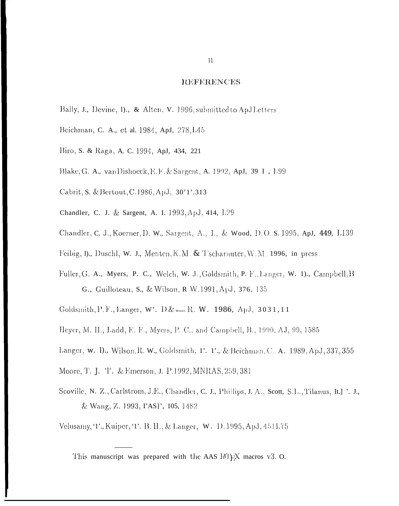### **REFERENCES**

- Bally, J., Devine, D., & Alten, V. 1996, submitted to ApJLetters
- Beichman, C. A., et al. 1984, ApJ, 278, L45
- Biro, S. & Raga, A. C. 1994, ApJ, 434, 221
- Blake, G. A., van Dishoeck, E.F. & Sargent, A. 1992, ApJ, 39 I, 1.99
- Cabrit, S. & Bertout, C.1986, ApJ, 30'1'.313
- Chandler, C. J. & Sargent, A. I. 1993, ApJ, 414, L29
- Chandler, C. J., Koerner, D. W., Sargent, A., I., & Wood, D.O. S. 1995, ApJ, 449, L139
- Feibig, D., Duschl, W. J., Menten, K.M. & Tscharnuter, W.M. 1996, in press
- Fuller, G. A., Myers, P. C., Welch, W. J., Goldsmith, P. F., Langer, W. 1)., Campbell, B G., Guilloteau, S., & Wilson, R W.1991, ApJ, 376, 135
- Goldsmith, P. F., Langer, W'. D. & Wilson, R. W. 1986, ApJ, 3031, 11
- Heyer, M. H., Ladd, E. F., Myers, P. C., and Campbell, B., 1990, AJ, 99, 1585
- Langer, w. D., Wilson, R. W., Goldsmith, 1'. 1'., & Beichman, C. A. 1989, ApJ, 337, 355
- Moore, T. J. T. & Emerson, J. P.1992, MNRAS, 259, 381
- Scoville, N. Z., Carlstrom, J.E., Chandler, C. J., Phillips, J. A., Scott, S.L., Tilanus, It.] '. J., & Wang, Z. 1993, PAS}', 105, 1482

Velusamy, T., Kuiper, T. B. H., & Langer, W. D. 1995, ApJ, 451L75

This manuscript was prepared with the AAS  $J/[\gamma]X$  macros v3. O.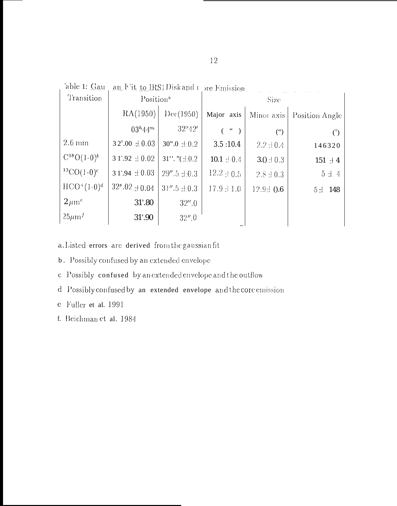| 'able 1: Gau       | an Fit to IRS1 Disk and Core Emission |                       |                                                               |                |                |
|--------------------|---------------------------------------|-----------------------|---------------------------------------------------------------|----------------|----------------|
| Transition         | Position <sup>a</sup>                 |                       | Size                                                          |                |                |
|                    | RA(1950)                              | Dec(1950)             | Major axis                                                    | Minor axis     | Position Angle |
|                    | $03^{h}44^{m}$                        | 32°42'                | $\left( \begin{array}{cc} 1 & 1 \\ 1 & 1 \end{array} \right)$ | $($ " $)$      | $\binom{0}{0}$ |
| $2.6 \text{ mm}$   | $32^{\rm s}.00 \pm 0.03$              | $30".0 \pm 0.2$       | 3.5:10.4                                                      | $2.2 \pm 0.4$  | 146320         |
| $C^{18}O(1-0)^b$   | $31^{\circ}.92 \pm 0.02$              | $31$ ". " $(\pm 0.2)$ | 10.1 $\pm$ 0.4                                                | $3.0 \pm 0.3$  | $151 + 4$      |
| ${}^{13}CO(1-0)^c$ | $31^{\circ}.94 \pm 0.03$              | $29''.5 \pm 0.3$      | $12.2 \pm 0.5$                                                | $2.8 \pm 0.3$  | $5 \pm 4$      |
| $HCO^{+}(1-0)^{d}$ | $32^s.02 \pm 0.04$                    | $31''.5 \pm 0.3$      | $17.9 \pm 1.0$                                                | $12.9 \pm 0.6$ | 5:1148         |
| $2 \mu m^c$        | $31^{\circ}.80$                       | 32''.0                |                                                               |                |                |
| $25 \mu m^f$       | $31^{\circ}.90$                       | 32''.0                |                                                               |                |                |

a. Listed errors are derived from the gaussian fit

b. Possibly confused by an extended envelope

c Possibly confused by an extended envelope and the outflow

d Possibly confused by an extended envelope and the core emission

e Fuller et al. 1991

f. Beichman et al. 1984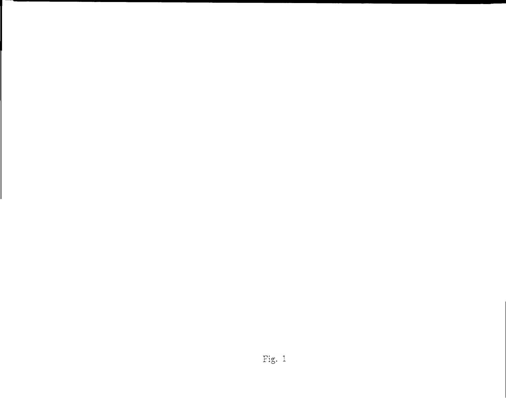# Fig.  $1$

 $\mathsf I$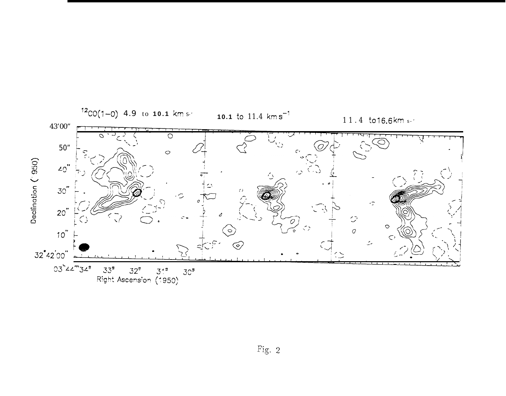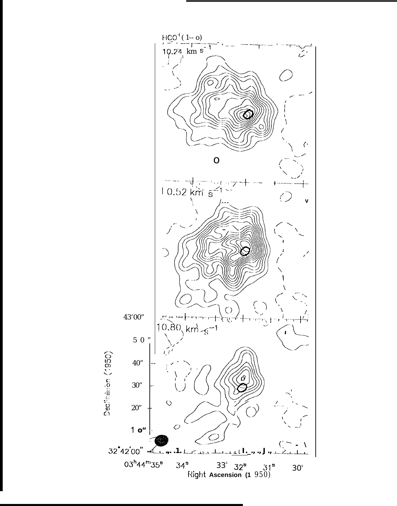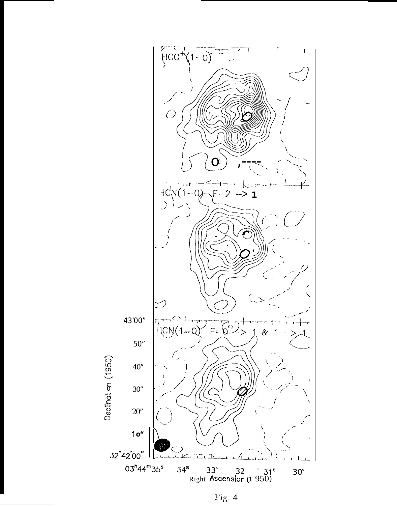

Fig. 4